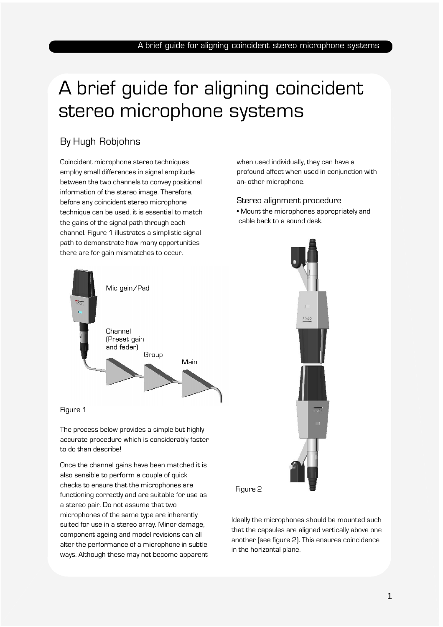# A brief guide for aligning coincident stereo microphone systems

## By Hugh Robjohns

Coincident microphone stereo techniques employ small differences in signal amplitude between the two channels to convey positional information of the stereo image. Therefore, before any coincident stereo microphone technique can be used, it is essential to match the gains of the signal path through each channel. Figure 1 illustrates a simplistic signal path to demonstrate how many opportunities there are for gain mismatches to occur.

when used individually, they can have a profound affect when used in conjunction with an- other microphone.

#### Stereo alignment procedure

• Mount the microphones appropriately and cable back to a sound desk.



Figure 1

The process below provides a simple but highly accurate procedure which is considerably faster to do than describe!

Once the channel gains have been matched it is also sensible to perform a couple of quick checks to ensure that the microphones are functioning correctly and are suitable for use as a stereo pair. Do not assume that two microphones of the same type are inherently suited for use in a stereo array. Minor damage, component ageing and model revisions can all alter the performance of a microphone in subtle ways. Although these may not become apparent



#### Figure 2

Ideally the microphones should be mounted such that the capsules are aligned vertically above one another (see figure 2). This ensures coincidence in the horizontal plane.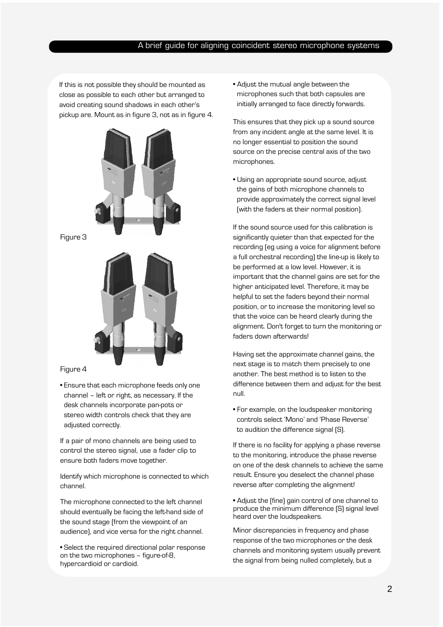#### A brief guide for aligning coincident stereo microphone systems

If this is not possible they should be mounted as close as possible to each other but arranged to avoid creating sound shadows in each other's pickup are. Mount as in figure 3, not as in figure 4.



#### Figure 4

• Ensure that each microphone feeds only one channel – left or right, as necessary. If the desk channels incorporate pan-pots or stereo width controls check that they are adiusted correctly.

If a pair of mono channels are being used to control the stereo signal, use a fader clip to ensure both faders move together.

Identify which microphone is connected to which channel.

The microphone connected to the left channel should eventually be facing the left-hand side of the sound stage (from the viewpoint of an audience), and vice versa for the right channel.

• Select the required directional polar response on the two microphones – figure-of-8, hypercardioid or cardioid.

• Adjust the mutual angle between the microphones such that both capsules are initially arranged to face directly forwards.

This ensures that they pick up a sound source from any incident angle at the same level. It is no longer essential to position the sound source on the precise central axis of the two microphones.

• Using an appropriate sound source, adjust the gains of both microphone channels to provide approximately the correct signal level (with the faders at their normal position).

If the sound source used for this calibration is significantly quieter than that expected for the recording (eg using a voice for alignment before a full orchestral recording) the line-up is likely to be performed at a low level. However, it is important that the channel gains are set for the higher anticipated level. Therefore, it may be helpful to set the faders beyond their normal position, or to increase the monitoring level so that the voice can be heard clearly during the alignment. Don't forget to turn the monitoring or faders down afterwards!

Having set the approximate channel gains, the next stage is to match them precisely to one another. The best method is to listen to the difference between them and adjust for the best null.

• For example, on the loudspeaker monitoring controls select 'Mono' and 'Phase Reverse' to audition the difference signal (S).

If there is no facility for applying a phase reverse to the monitoring, introduce the phase reverse on one of the desk channels to achieve the same result. Ensure you deselect the channel phase reverse after completing the alignment!

• Adjust the (fine) gain control of one channel to produce the minimum difference (S) signal level heard over the loudspeakers.

Minor discrepancies in frequency and phase response of the two microphones or the desk channels and monitoring system usually prevent the signal from being nulled completely, but a